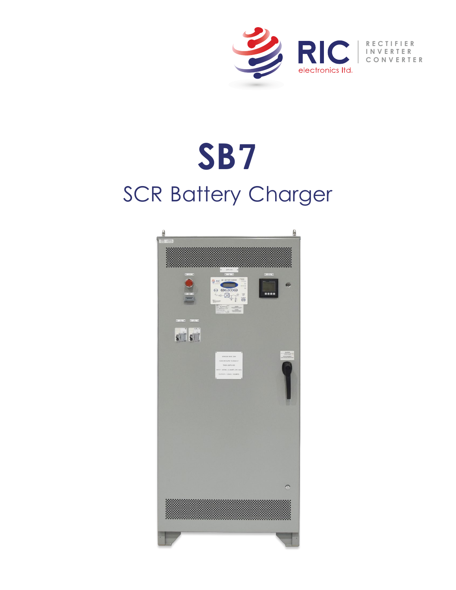

# SCR Battery Charger **SB7**

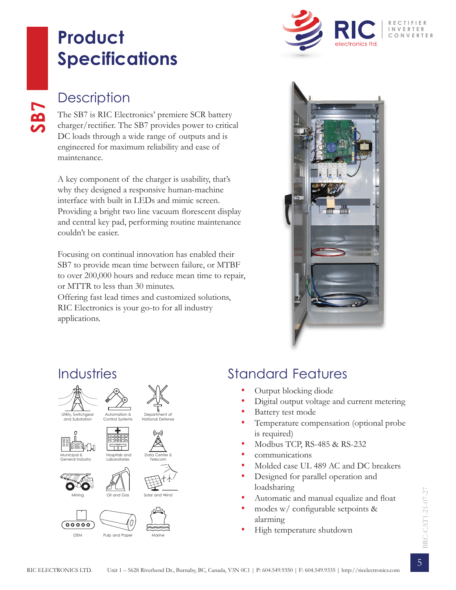## **Product Specifications**



#### **Description**

**SB7**

The SB7 is RIC Electronics' premiere SCR battery charger/rectifier. The SB7 provides power to critical DC loads through a wide range of outputs and is engineered for maximum reliability and ease of maintenance.

A key component of the charger is usability, that's why they designed a responsive human-machine interface with built in LEDs and mimic screen. Providing a bright two line vacuum florescent display and central key pad, performing routine maintenance couldn't be easier.

Focusing on continual innovation has enabled their SB7 to provide mean time between failure, or MTBF to over 200,000 hours and reduce mean time to repair, or MTTR to less than 30 minutes.

Offering fast lead times and customized solutions, RIC Electronics is your go-to for all industry applications.



#### Industries















Solar and Wind







#### Standard Features

- Output blocking diode
- Digital output voltage and current metering
- Battery test mode
- Temperature compensation (optional probe is required)
- Modbus TCP, RS-485 & RS-232
- communications
- Molded case UL 489 AC and DC breakers
- Designed for parallel operation and loadsharing
- Automatic and manual equalize and float
- modes w/ configurable setpoints & alarming
- High temperature shutdown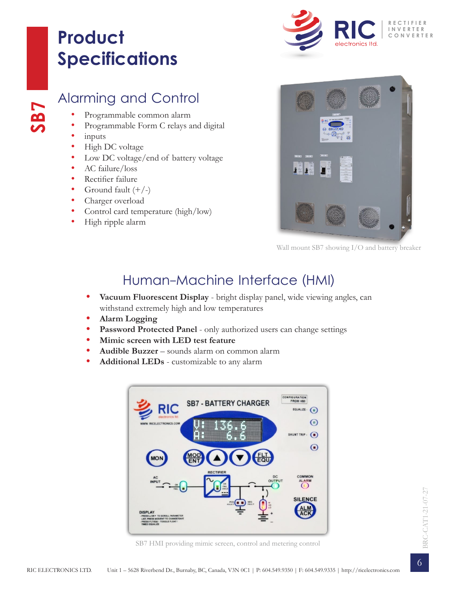## **Product Specifications**



#### Alarming and Control

- Programmable common alarm
- Programmable Form C relays and digital
- inputs

**SB7**

- High DC voltage
- Low DC voltage/end of battery voltage
- AC failure/loss
- Rectifier failure
- Ground fault  $(+/-)$
- Charger overload
- Control card temperature (high/low)
- High ripple alarm



Wall mount SB7 showing I/O and battery breaker

#### Human-Machine Interface (HMI)

- **• Vacuum Fluorescent Display** bright display panel, wide viewing angles, can withstand extremely high and low temperatures
- **• Alarm Logging**
- Password Protected Panel only authorized users can change settings
- **• Mimic screen with LED test feature**
- **• Audible Buzzer** sounds alarm on common alarm
- **• Additional LEDs** customizable to any alarm



SB7 HMI providing mimic screen, control and metering control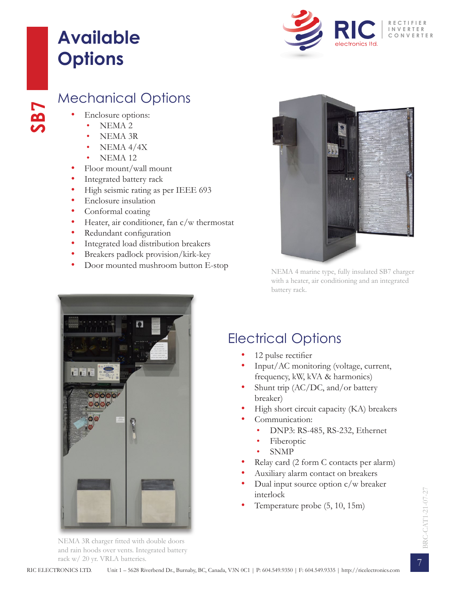## **Available Options**



#### Mechanical Options

• Enclosure options:

**SB7**

- NEMA 2
- NEMA 3R
- NEMA 4/4X
- NEMA 12
- Floor mount/wall mount
- Integrated battery rack
- High seismic rating as per IEEE 693
- Enclosure insulation
- Conformal coating
- Heater, air conditioner, fan c/w thermostat
- Redundant configuration
- Integrated load distribution breakers
- Breakers padlock provision/kirk-key
- Door mounted mushroom button E-stop



NEMA 4 marine type, fully insulated SB7 charger with a heater, air conditioning and an integrated battery rack.



#### Electrical Options

- 12 pulse rectifier
- Input/AC monitoring (voltage, current, frequency, kW, kVA & harmonics)
- Shunt trip (AC/DC, and/or battery breaker)
- High short circuit capacity (KA) breakers
- Communication:
	- DNP3: RS-485, RS-232, Ethernet
	- Fiberoptic
	- SNMP
- Relay card (2 form C contacts per alarm)
- Auxiliary alarm contact on breakers
- Dual input source option c/w breaker interlock
- Temperature probe (5, 10, 15m)

NEMA 3R charger fitted with double doors and rain hoods over vents. Integrated battery rack w/ 20 yr. VRLA batteries.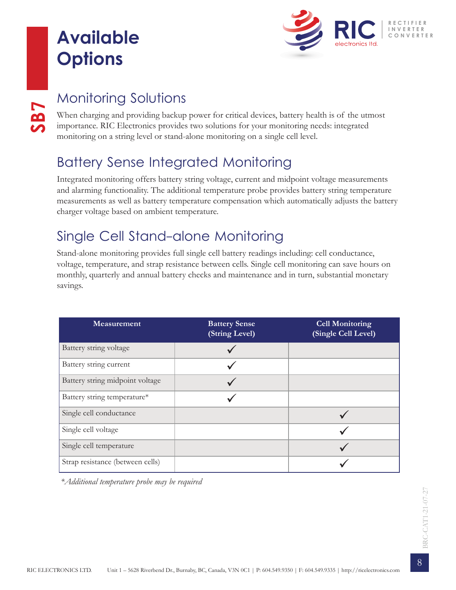## **Available Options**



**SB7**

### Monitoring Solutions

When charging and providing backup power for critical devices, battery health is of the utmost importance. RIC Electronics provides two solutions for your monitoring needs: integrated monitoring on a string level or stand-alone monitoring on a single cell level.

### Battery Sense Integrated Monitoring

Integrated monitoring offers battery string voltage, current and midpoint voltage measurements and alarming functionality. The additional temperature probe provides battery string temperature measurements as well as battery temperature compensation which automatically adjusts the battery charger voltage based on ambient temperature.

#### Single Cell Stand-alone Monitoring

Stand-alone monitoring provides full single cell battery readings including: cell conductance, voltage, temperature, and strap resistance between cells. Single cell monitoring can save hours on monthly, quarterly and annual battery checks and maintenance and in turn, substantial monetary savings.

| Measurement                      | <b>Battery Sense</b><br>(String Level) | <b>Cell Monitoring</b><br>(Single Cell Level) |
|----------------------------------|----------------------------------------|-----------------------------------------------|
| Battery string voltage           |                                        |                                               |
| Battery string current           |                                        |                                               |
| Battery string midpoint voltage  |                                        |                                               |
| Battery string temperature*      |                                        |                                               |
| Single cell conductance          |                                        |                                               |
| Single cell voltage              |                                        |                                               |
| Single cell temperature          |                                        |                                               |
| Strap resistance (between cells) |                                        |                                               |

*\*Additional temperature probe may be required*